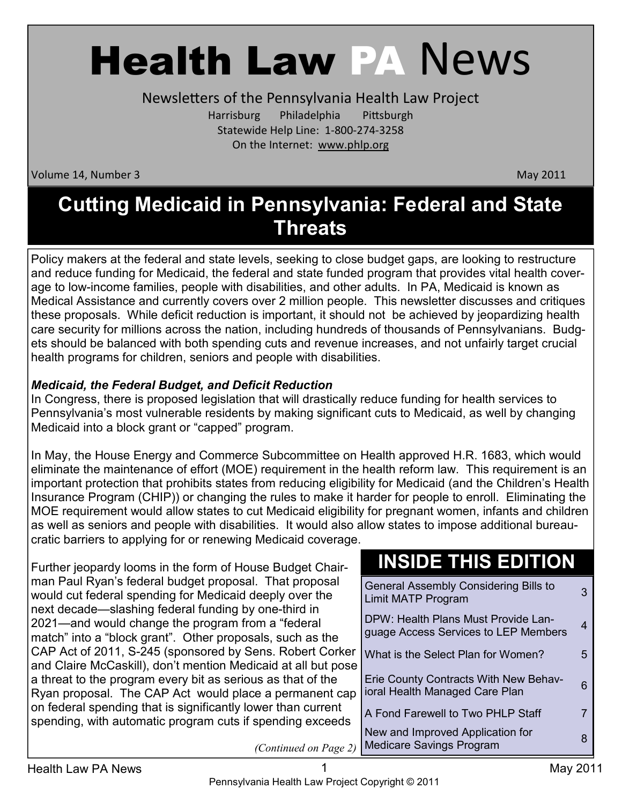# Health Law PA News

Newsletters of the Pennsylvania Health Law Project Harrisburg Philadelphia Pittsburgh Statewide Help Line: 1-800-274-3258 On the Internet: www.phlp.org

Volume 14, Number 3 May 2011

## **Cutting Medicaid in Pennsylvania: Federal and State Threats**

Policy makers at the federal and state levels, seeking to close budget gaps, are looking to restructure and reduce funding for Medicaid, the federal and state funded program that provides vital health coverage to low-income families, people with disabilities, and other adults. In PA, Medicaid is known as Medical Assistance and currently covers over 2 million people. This newsletter discusses and critiques these proposals. While deficit reduction is important, it should not be achieved by jeopardizing health care security for millions across the nation, including hundreds of thousands of Pennsylvanians. Budgets should be balanced with both spending cuts and revenue increases, and not unfairly target crucial health programs for children, seniors and people with disabilities.

#### *Medicaid, the Federal Budget, and Deficit Reduction*

In Congress, there is proposed legislation that will drastically reduce funding for health services to Pennsylvania's most vulnerable residents by making significant cuts to Medicaid, as well by changing Medicaid into a block grant or "capped" program.

In May, the House Energy and Commerce Subcommittee on Health approved H.R. 1683, which would eliminate the maintenance of effort (MOE) requirement in the health reform law. This requirement is an important protection that prohibits states from reducing eligibility for Medicaid (and the Children's Health Insurance Program (CHIP)) or changing the rules to make it harder for people to enroll. Eliminating the MOE requirement would allow states to cut Medicaid eligibility for pregnant women, infants and children as well as seniors and people with disabilities. It would also allow states to impose additional bureaucratic barriers to applying for or renewing Medicaid coverage.

Further jeopardy looms in the form of House Budget Chairman Paul Ryan's federal budget proposal. That proposal would cut federal spending for Medicaid deeply over the next decade—slashing federal funding by one-third in 2021—and would change the program from a "federal match" into a "block grant". Other proposals, such as the CAP Act of 2011, S-245 (sponsored by Sens. Robert Corker and Claire McCaskill), don't mention Medicaid at all but pose a threat to the program every bit as serious as that of the Ryan proposal. The CAP Act would place a permanent cap on federal spending that is significantly lower than current spending, with automatic program cuts if spending exceeds

## **INSIDE THIS EDITION**

| <b>General Assembly Considering Bills to</b><br>Limit MATP Program          | З |
|-----------------------------------------------------------------------------|---|
| DPW: Health Plans Must Provide Lan-<br>guage Access Services to LEP Members | 4 |
| What is the Select Plan for Women?                                          | 5 |
| Erie County Contracts With New Behav-<br>ioral Health Managed Care Plan     | 6 |
| A Fond Farewell to Two PHLP Staff                                           | 7 |
| New and Improved Application for<br><b>Medicare Savings Program</b>         | 8 |

*(Continued on Page 2)*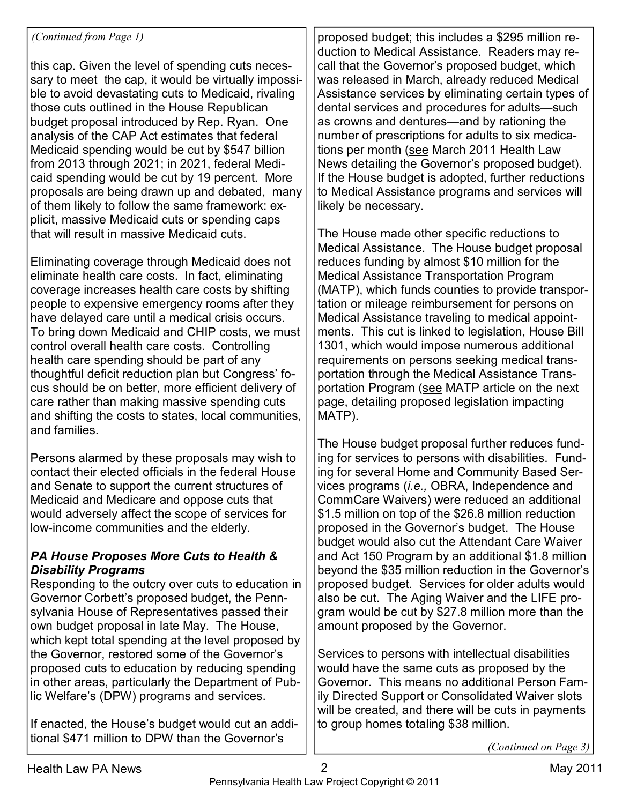this cap. Given the level of spending cuts necessary to meet the cap, it would be virtually impossible to avoid devastating cuts to Medicaid, rivaling those cuts outlined in the House Republican budget proposal introduced by Rep. Ryan. One analysis of the CAP Act estimates that federal Medicaid spending would be cut by \$547 billion from 2013 through 2021; in 2021, federal Medicaid spending would be cut by 19 percent. More proposals are being drawn up and debated, many of them likely to follow the same framework: explicit, massive Medicaid cuts or spending caps that will result in massive Medicaid cuts.

Eliminating coverage through Medicaid does not eliminate health care costs. In fact, eliminating coverage increases health care costs by shifting people to expensive emergency rooms after they have delayed care until a medical crisis occurs. To bring down Medicaid and CHIP costs, we must control overall health care costs. Controlling health care spending should be part of any thoughtful deficit reduction plan but Congress' focus should be on better, more efficient delivery of care rather than making massive spending cuts and shifting the costs to states, local communities, and families.

Persons alarmed by these proposals may wish to contact their elected officials in the federal House and Senate to support the current structures of Medicaid and Medicare and oppose cuts that would adversely affect the scope of services for low-income communities and the elderly.

#### *PA House Proposes More Cuts to Health & Disability Programs*

Responding to the outcry over cuts to education in Governor Corbett's proposed budget, the Pennsylvania House of Representatives passed their own budget proposal in late May. The House, which kept total spending at the level proposed by the Governor, restored some of the Governor's proposed cuts to education by reducing spending in other areas, particularly the Department of Public Welfare's (DPW) programs and services.

If enacted, the House's budget would cut an additional \$471 million to DPW than the Governor's

*(Continued from Page 1)*  $\vert$  **proposed budget; this includes a \$295 million re**duction to Medical Assistance. Readers may recall that the Governor's proposed budget, which was released in March, already reduced Medical Assistance services by eliminating certain types of dental services and procedures for adults—such as crowns and dentures—and by rationing the number of prescriptions for adults to six medications per month (see March 2011 Health Law News detailing the Governor's proposed budget). If the House budget is adopted, further reductions to Medical Assistance programs and services will likely be necessary.

> The House made other specific reductions to Medical Assistance. The House budget proposal reduces funding by almost \$10 million for the Medical Assistance Transportation Program (MATP), which funds counties to provide transportation or mileage reimbursement for persons on Medical Assistance traveling to medical appointments. This cut is linked to legislation, House Bill 1301, which would impose numerous additional requirements on persons seeking medical transportation through the Medical Assistance Transportation Program (see MATP article on the next page, detailing proposed legislation impacting MATP).

> The House budget proposal further reduces funding for services to persons with disabilities. Funding for several Home and Community Based Services programs (*i.e.,* OBRA, Independence and CommCare Waivers) were reduced an additional \$1.5 million on top of the \$26.8 million reduction proposed in the Governor's budget. The House budget would also cut the Attendant Care Waiver and Act 150 Program by an additional \$1.8 million beyond the \$35 million reduction in the Governor's proposed budget. Services for older adults would also be cut. The Aging Waiver and the LIFE program would be cut by \$27.8 million more than the amount proposed by the Governor.

> Services to persons with intellectual disabilities would have the same cuts as proposed by the Governor. This means no additional Person Family Directed Support or Consolidated Waiver slots will be created, and there will be cuts in payments to group homes totaling \$38 million.

> > *(Continued on Page 3)*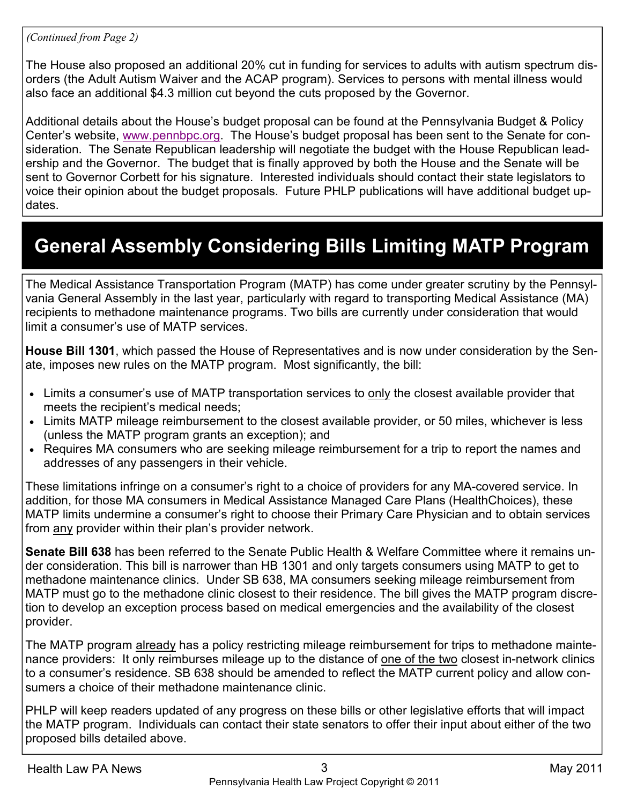#### *(Continued from Page 2)*

The House also proposed an additional 20% cut in funding for services to adults with autism spectrum disorders (the Adult Autism Waiver and the ACAP program). Services to persons with mental illness would also face an additional \$4.3 million cut beyond the cuts proposed by the Governor.

Additional details about the House's budget proposal can be found at the Pennsylvania Budget & Policy Center's website, www.pennbpc.org. The House's budget proposal has been sent to the Senate for consideration. The Senate Republican leadership will negotiate the budget with the House Republican leadership and the Governor. The budget that is finally approved by both the House and the Senate will be sent to Governor Corbett for his signature. Interested individuals should contact their state legislators to voice their opinion about the budget proposals. Future PHLP publications will have additional budget updates.

## **General Assembly Considering Bills Limiting MATP Program**

The Medical Assistance Transportation Program (MATP) has come under greater scrutiny by the Pennsylvania General Assembly in the last year, particularly with regard to transporting Medical Assistance (MA) recipients to methadone maintenance programs. Two bills are currently under consideration that would limit a consumer's use of MATP services.

**House Bill 1301**, which passed the House of Representatives and is now under consideration by the Senate, imposes new rules on the MATP program. Most significantly, the bill:

- Limits a consumer's use of MATP transportation services to only the closest available provider that meets the recipient's medical needs;
- Limits MATP mileage reimbursement to the closest available provider, or 50 miles, whichever is less (unless the MATP program grants an exception); and
- Requires MA consumers who are seeking mileage reimbursement for a trip to report the names and addresses of any passengers in their vehicle.

These limitations infringe on a consumer's right to a choice of providers for any MA-covered service. In addition, for those MA consumers in Medical Assistance Managed Care Plans (HealthChoices), these MATP limits undermine a consumer's right to choose their Primary Care Physician and to obtain services from any provider within their plan's provider network.

**Senate Bill 638** has been referred to the Senate Public Health & Welfare Committee where it remains under consideration. This bill is narrower than HB 1301 and only targets consumers using MATP to get to methadone maintenance clinics. Under SB 638, MA consumers seeking mileage reimbursement from MATP must go to the methadone clinic closest to their residence. The bill gives the MATP program discretion to develop an exception process based on medical emergencies and the availability of the closest provider.

The MATP program already has a policy restricting mileage reimbursement for trips to methadone maintenance providers: It only reimburses mileage up to the distance of one of the two closest in-network clinics to a consumer's residence. SB 638 should be amended to reflect the MATP current policy and allow consumers a choice of their methadone maintenance clinic.

PHLP will keep readers updated of any progress on these bills or other legislative efforts that will impact the MATP program. Individuals can contact their state senators to offer their input about either of the two proposed bills detailed above.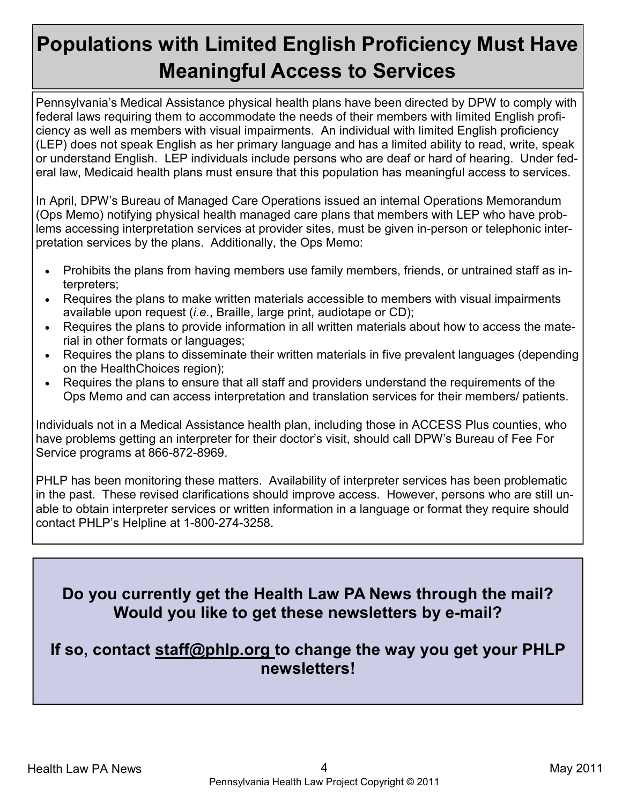## **Populations with Limited English Proficiency Must Have Meaningful Access to Services**

Pennsylvania's Medical Assistance physical health plans have been directed by DPW to comply with federal laws requiring them to accommodate the needs of their members with limited English proficiency as well as members with visual impairments. An individual with limited English proficiency (LEP) does not speak English as her primary language and has a limited ability to read, write, speak or understand English. LEP individuals include persons who are deaf or hard of hearing. Under federal law, Medicaid health plans must ensure that this population has meaningful access to services.

In April, DPW's Bureau of Managed Care Operations issued an internal Operations Memorandum (Ops Memo) notifying physical health managed care plans that members with LEP who have problems accessing interpretation services at provider sites, must be given in-person or telephonic interpretation services by the plans. Additionally, the Ops Memo:

- Prohibits the plans from having members use family members, friends, or untrained staff as interpreters;
- Requires the plans to make written materials accessible to members with visual impairments available upon request (*i.e.*, Braille, large print, audiotape or CD);
- Requires the plans to provide information in all written materials about how to access the material in other formats or languages;
- Requires the plans to disseminate their written materials in five prevalent languages (depending on the HealthChoices region);
- Requires the plans to ensure that all staff and providers understand the requirements of the Ops Memo and can access interpretation and translation services for their members/ patients.

Individuals not in a Medical Assistance health plan, including those in ACCESS Plus counties, who have problems getting an interpreter for their doctor's visit, should call DPW's Bureau of Fee For Service programs at 866-872-8969.

PHLP has been monitoring these matters. Availability of interpreter services has been problematic in the past. These revised clarifications should improve access. However, persons who are still unable to obtain interpreter services or written information in a language or format they require should contact PHLP's Helpline at 1-800-274-3258.

### **Do you currently get the Health Law PA News through the mail? Would you like to get these newsletters by e-mail?**

#### **If so, contact staff@phlp.org to change the way you get your PHLP newsletters!**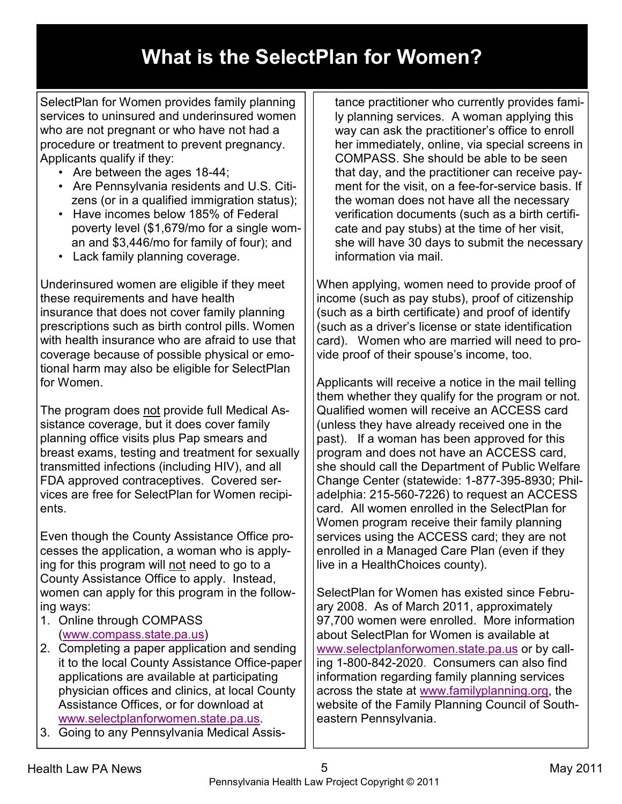## **What is the SelectPlan for Women?**

SelectPlan for Women provides family planning services to uninsured and underinsured women who are not pregnant or who have not had a procedure or treatment to prevent pregnancy. Applicants qualify if they:

- Are between the ages 18-44;
- Are Pennsylvania residents and U.S. Citizens (or in a qualified immigration status);
- Have incomes below 185% of Federal poverty level (\$1,679/mo for a single woman and \$3,446/mo for family of four); and
- Lack family planning coverage.

Underinsured women are eligible if they meet these requirements and have health insurance that does not cover family planning prescriptions such as birth control pills. Women with health insurance who are afraid to use that coverage because of possible physical or emotional harm may also be eligible for SelectPlan for Women.

The program does not provide full Medical Assistance coverage, but it does cover family planning office visits plus Pap smears and breast exams, testing and treatment for sexually transmitted infections (including HIV), and all FDA approved contraceptives. Covered services are free for SelectPlan for Women recipients.

Even though the County Assistance Office processes the application, a woman who is applying for this program will not need to go to a County Assistance Office to apply. Instead, women can apply for this program in the following ways:

- 1. Online through COMPASS (www.compass.state.pa.us)
- 2. Completing a paper application and sending it to the local County Assistance Office-paper applications are available at participating physician offices and clinics, at local County Assistance Offices, or for download at www.selectplanforwomen.state.pa.us.
- 3. Going to any Pennsylvania Medical Assis-

tance practitioner who currently provides family planning services. A woman applying this way can ask the practitioner's office to enroll her immediately, online, via special screens in COMPASS. She should be able to be seen that day, and the practitioner can receive payment for the visit, on a fee-for-service basis. If the woman does not have all the necessary verification documents (such as a birth certificate and pay stubs) at the time of her visit, she will have 30 days to submit the necessary information via mail.

When applying, women need to provide proof of income (such as pay stubs), proof of citizenship (such as a birth certificate) and proof of identify (such as a driver's license or state identification card). Women who are married will need to provide proof of their spouse's income, too.

Applicants will receive a notice in the mail telling them whether they qualify for the program or not. Qualified women will receive an ACCESS card (unless they have already received one in the past). If a woman has been approved for this program and does not have an ACCESS card, she should call the Department of Public Welfare Change Center (statewide: 1-877-395-8930; Philadelphia: 215-560-7226) to request an ACCESS card. All women enrolled in the SelectPlan for Women program receive their family planning services using the ACCESS card; they are not enrolled in a Managed Care Plan (even if they live in a HealthChoices county).

SelectPlan for Women has existed since February 2008. As of March 2011, approximately 97,700 women were enrolled. More information about SelectPlan for Women is available at www.selectplanforwomen.state.pa.us or by calling 1-800-842-2020. Consumers can also find information regarding family planning services across the state at www.familyplanning.org, the website of the Family Planning Council of Southeastern Pennsylvania.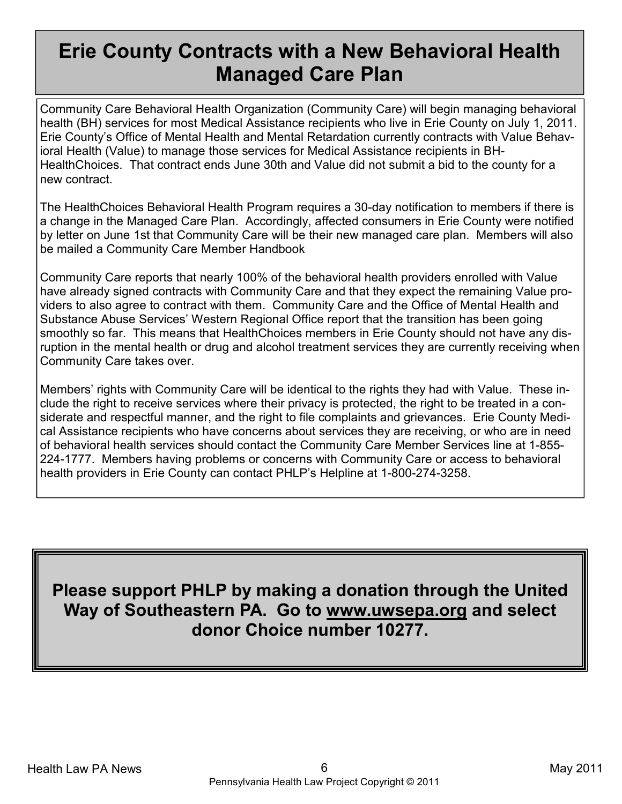## **Erie County Contracts with a New Behavioral Health Managed Care Plan**

Community Care Behavioral Health Organization (Community Care) will begin managing behavioral health (BH) services for most Medical Assistance recipients who live in Erie County on July 1, 2011. Erie County's Office of Mental Health and Mental Retardation currently contracts with Value Behavioral Health (Value) to manage those services for Medical Assistance recipients in BH-HealthChoices. That contract ends June 30th and Value did not submit a bid to the county for a new contract.

The HealthChoices Behavioral Health Program requires a 30-day notification to members if there is a change in the Managed Care Plan. Accordingly, affected consumers in Erie County were notified by letter on June 1st that Community Care will be their new managed care plan. Members will also be mailed a Community Care Member Handbook

Community Care reports that nearly 100% of the behavioral health providers enrolled with Value have already signed contracts with Community Care and that they expect the remaining Value providers to also agree to contract with them. Community Care and the Office of Mental Health and Substance Abuse Services' Western Regional Office report that the transition has been going smoothly so far. This means that HealthChoices members in Erie County should not have any disruption in the mental health or drug and alcohol treatment services they are currently receiving when Community Care takes over.

Members' rights with Community Care will be identical to the rights they had with Value. These include the right to receive services where their privacy is protected, the right to be treated in a considerate and respectful manner, and the right to file complaints and grievances. Erie County Medical Assistance recipients who have concerns about services they are receiving, or who are in need of behavioral health services should contact the Community Care Member Services line at 1-855- 224-1777. Members having problems or concerns with Community Care or access to behavioral health providers in Erie County can contact PHLP's Helpline at 1-800-274-3258.

**Please support PHLP by making a donation through the United Way of Southeastern PA. Go to www.uwsepa.org and select donor Choice number 10277.**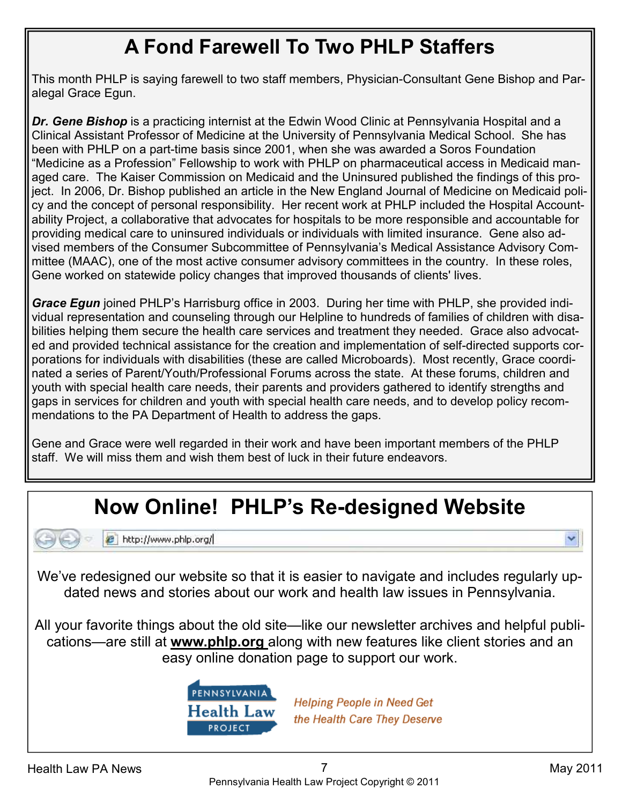## **A Fond Farewell To Two PHLP Staffers**

This month PHLP is saying farewell to two staff members, Physician-Consultant Gene Bishop and Paralegal Grace Egun.

*Dr. Gene Bishop* is a practicing internist at the Edwin Wood Clinic at Pennsylvania Hospital and a Clinical Assistant Professor of Medicine at the University of Pennsylvania Medical School. She has been with PHLP on a part-time basis since 2001, when she was awarded a Soros Foundation "Medicine as a Profession" Fellowship to work with PHLP on pharmaceutical access in Medicaid managed care. The Kaiser Commission on Medicaid and the Uninsured published the findings of this project. In 2006, Dr. Bishop published an article in the New England Journal of Medicine on Medicaid policy and the concept of personal responsibility. Her recent work at PHLP included the Hospital Accountability Project, a collaborative that advocates for hospitals to be more responsible and accountable for providing medical care to uninsured individuals or individuals with limited insurance. Gene also advised members of the Consumer Subcommittee of Pennsylvania's Medical Assistance Advisory Committee (MAAC), one of the most active consumer advisory committees in the country. In these roles, Gene worked on statewide policy changes that improved thousands of clients' lives.

**Grace Egun** joined PHLP's Harrisburg office in 2003. During her time with PHLP, she provided individual representation and counseling through our Helpline to hundreds of families of children with disabilities helping them secure the health care services and treatment they needed. Grace also advocated and provided technical assistance for the creation and implementation of self-directed supports corporations for individuals with disabilities (these are called Microboards). Most recently, Grace coordinated a series of Parent/Youth/Professional Forums across the state. At these forums, children and youth with special health care needs, their parents and providers gathered to identify strengths and gaps in services for children and youth with special health care needs, and to develop policy recommendations to the PA Department of Health to address the gaps.

Gene and Grace were well regarded in their work and have been important members of the PHLP staff. We will miss them and wish them best of luck in their future endeavors.

## **Now Online! PHLP's Re-designed Website**



e http://www.phlp.org/

We've redesigned our website so that it is easier to navigate and includes regularly updated news and stories about our work and health law issues in Pennsylvania.

All your favorite things about the old site—like our newsletter archives and helpful publications—are still at **www.phlp.org** along with new features like client stories and an easy online donation page to support our work.



**Helping People in Need Get** the Health Care They Deserve